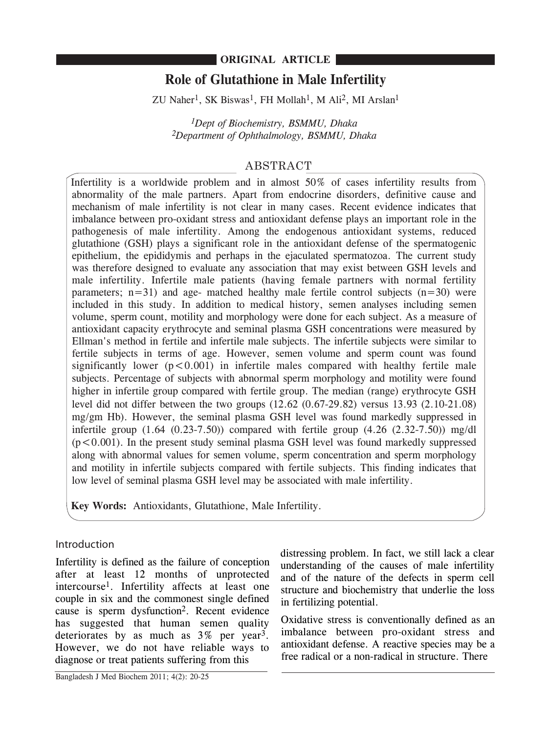# **ORIGINAL ARTICLE**

# **Role of Glutathione in Male Infertility**

 $ZU$  Naher<sup>1</sup>, SK Biswas<sup>1</sup>, FH Mollah<sup>1</sup>, M Ali<sup>2</sup>, MI Arslan<sup>1</sup>

*1Dept of Biochemistry, BSMMU, Dhaka 2Department of Ophthalmology, BSMMU, Dhaka*

# ABSTRACT

Infertility is a worldwide problem and in almost 50% of cases infertility results from abnormality of the male partners. Apart from endocrine disorders, definitive cause and mechanism of male infertility is not clear in many cases. Recent evidence indicates that imbalance between pro-oxidant stress and antioxidant defense plays an important role in the pathogenesis of male infertility. Among the endogenous antioxidant systems, reduced glutathione (GSH) plays a significant role in the antioxidant defense of the spermatogenic epithelium, the epididymis and perhaps in the ejaculated spermatozoa. The current study was therefore designed to evaluate any association that may exist between GSH levels and male infertility. Infertile male patients (having female partners with normal fertility parameters;  $n=31$ ) and age- matched healthy male fertile control subjects  $(n=30)$  were included in this study. In addition to medical history, semen analyses including semen volume, sperm count, motility and morphology were done for each subject. As a measure of antioxidant capacity erythrocyte and seminal plasma GSH concentrations were measured by Ellman's method in fertile and infertile male subjects. The infertile subjects were similar to fertile subjects in terms of age. However, semen volume and sperm count was found significantly lower  $(p<0.001)$  in infertile males compared with healthy fertile male subjects. Percentage of subjects with abnormal sperm morphology and motility were found higher in infertile group compared with fertile group. The median (range) erythrocyte GSH level did not differ between the two groups (12.62 (0.67-29.82) versus 13.93 (2.10-21.08) mg/gm Hb). However, the seminal plasma GSH level was found markedly suppressed in infertile group  $(1.64 \ (0.23-7.50))$  compared with fertile group  $(4.26 \ (2.32-7.50))$  mg/dl  $(p<0.001)$ . In the present study seminal plasma GSH level was found markedly suppressed along with abnormal values for semen volume, sperm concentration and sperm morphology and motility in infertile subjects compared with fertile subjects. This finding indicates that low level of seminal plasma GSH level may be associated with male infertility.

**Key Words:** Antioxidants, Glutathione, Male Infertility.

# Introduction

Infertility is defined as the failure of conception after at least 12 months of unprotected intercourse1. Infertility affects at least one couple in six and the commonest single defined cause is sperm dysfunction2. Recent evidence has suggested that human semen quality deteriorates by as much as  $3\%$  per year<sup>3</sup>. However, we do not have reliable ways to diagnose or treat patients suffering from this

distressing problem. In fact, we still lack a clear understanding of the causes of male infertility and of the nature of the defects in sperm cell structure and biochemistry that underlie the loss in fertilizing potential.

Oxidative stress is conventionally defined as an imbalance between pro-oxidant stress and antioxidant defense. A reactive species may be a free radical or a non-radical in structure. There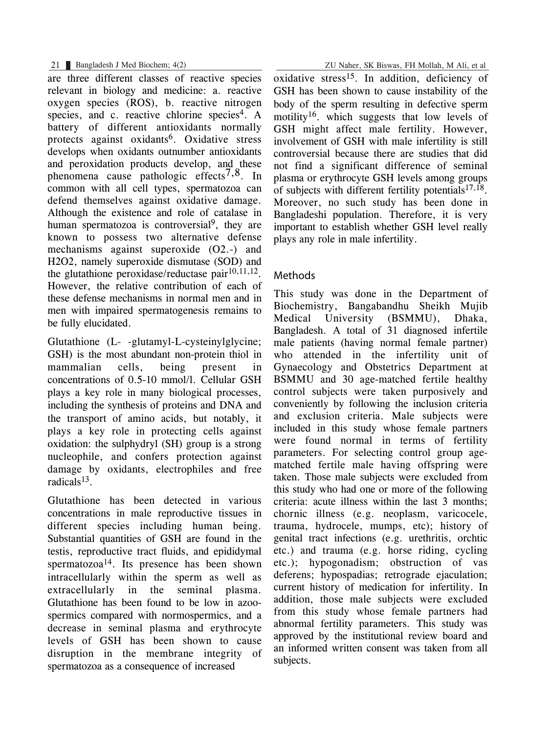are three different classes of reactive species relevant in biology and medicine: a. reactive oxygen species (ROS), b. reactive nitrogen species, and c. reactive chlorine species<sup>4</sup>. A battery of different antioxidants normally protects against oxidants<sup>6</sup>. Oxidative stress develops when oxidants outnumber antioxidants and peroxidation products develop, and these phenomena cause pathologic effects<sup>7,8</sup>. In common with all cell types, spermatozoa can defend themselves against oxidative damage. Although the existence and role of catalase in human spermatozoa is controversial<sup>9</sup>, they are known to possess two alternative defense mechanisms against superoxide (O2.-) and H2O2, namely superoxide dismutase (SOD) and the glutathione peroxidase/reductase pair $10,11,12$ . However, the relative contribution of each of these defense mechanisms in normal men and in men with impaired spermatogenesis remains to be fully elucidated.

Glutathione (L- -glutamyl-L-cysteinylglycine; GSH) is the most abundant non-protein thiol in mammalian cells, being present in concentrations of 0.5-10 mmol/l. Cellular GSH plays a key role in many biological processes, including the synthesis of proteins and DNA and the transport of amino acids, but notably, it plays a key role in protecting cells against oxidation: the sulphydryl (SH) group is a strong nucleophile, and confers protection against damage by oxidants, electrophiles and free radicals<sup>13</sup>.

Glutathione has been detected in various concentrations in male reproductive tissues in different species including human being. Substantial quantities of GSH are found in the testis, reproductive tract fluids, and epididymal spermatozoa<sup>14</sup>. Its presence has been shown intracellularly within the sperm as well as extracellularly in the seminal plasma. Glutathione has been found to be low in azoospermics compared with normospermics, and a decrease in seminal plasma and erythrocyte levels of GSH has been shown to cause disruption in the membrane integrity of spermatozoa as a consequence of increased

21 Bangladesh J Med Biochem; 4(2) ZU Naher, SK Biswas, FH Mollah, M Ali, et al

oxidative stress15. In addition, deficiency of GSH has been shown to cause instability of the body of the sperm resulting in defective sperm motility<sup>16</sup>, which suggests that low levels of GSH might affect male fertility. However, involvement of GSH with male infertility is still controversial because there are studies that did not find a significant difference of seminal plasma or erythrocyte GSH levels among groups of subjects with different fertility potentials $17,18$ . Moreover, no such study has been done in Bangladeshi population. Therefore, it is very important to establish whether GSH level really plays any role in male infertility.

# Methods

This study was done in the Department of Biochemistry, Bangabandhu Sheikh Mujib Medical University (BSMMU), Dhaka, Bangladesh. A total of 31 diagnosed infertile male patients (having normal female partner) who attended in the infertility unit of Gynaecology and Obstetrics Department at BSMMU and 30 age-matched fertile healthy control subjects were taken purposively and conveniently by following the inclusion criteria and exclusion criteria. Male subjects were included in this study whose female partners were found normal in terms of fertility parameters. For selecting control group agematched fertile male having offspring were taken. Those male subjects were excluded from this study who had one or more of the following criteria: acute illness within the last 3 months; chornic illness (e.g. neoplasm, varicocele, trauma, hydrocele, mumps, etc); history of genital tract infections (e.g. urethritis, orchtic etc.) and trauma (e.g. horse riding, cycling etc.); hypogonadism; obstruction of vas deferens; hypospadias; retrograde ejaculation; current history of medication for infertility. In addition, those male subjects were excluded from this study whose female partners had abnormal fertility parameters. This study was approved by the institutional review board and an informed written consent was taken from all subjects.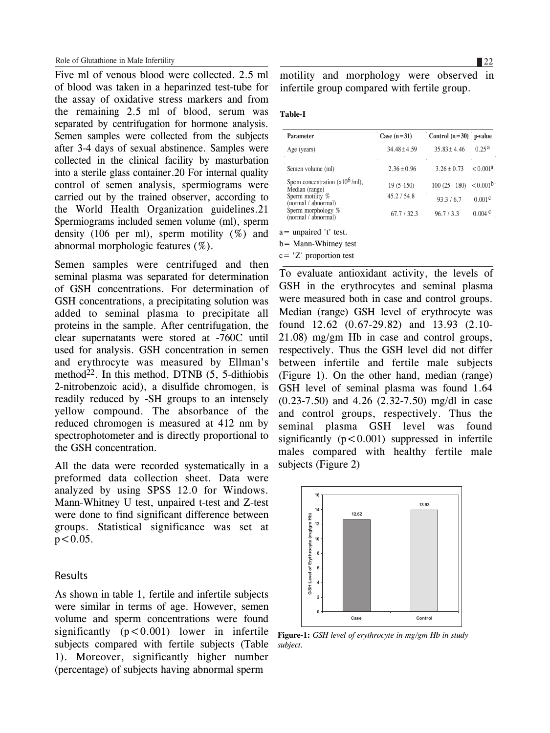Five ml of venous blood were collected. 2.5 ml of blood was taken in a heparinzed test-tube for the assay of oxidative stress markers and from the remaining 2.5 ml of blood, serum was separated by centrifugation for hormone analysis. Semen samples were collected from the subjects after 3-4 days of sexual abstinence. Samples were collected in the clinical facility by masturbation into a sterile glass container.20 For internal quality control of semen analysis, spermiograms were carried out by the trained observer, according to the World Health Organization guidelines.21 Spermiograms included semen volume (ml), sperm density (106 per ml), sperm motility (%) and abnormal morphologic features (%).

Semen samples were centrifuged and then seminal plasma was separated for determination of GSH concentrations. For determination of GSH concentrations, a precipitating solution was added to seminal plasma to precipitate all proteins in the sample. After centrifugation, the clear supernatants were stored at -760C until used for analysis. GSH concentration in semen and erythrocyte was measured by Ellman's method<sup>22</sup>. In this method, DTNB  $(5, 5$ -dithiobis 2-nitrobenzoic acid), a disulfide chromogen, is readily reduced by -SH groups to an intensely yellow compound. The absorbance of the reduced chromogen is measured at 412 nm by spectrophotometer and is directly proportional to the GSH concentration.

All the data were recorded systematically in a preformed data collection sheet. Data were analyzed by using SPSS 12.0 for Windows. Mann-Whitney U test, unpaired t-test and Z-test were done to find significant difference between groups. Statistical significance was set at  $p < 0.05$ .

#### Results

As shown in table 1, fertile and infertile subjects were similar in terms of age. However, semen volume and sperm concentrations were found significantly  $(p<0.001)$  lower in infertile subjects compared with fertile subjects (Table 1). Moreover, significantly higher number (percentage) of subjects having abnormal sperm

motility and morphology were observed in infertile group compared with fertile group.

#### **Table-I**

| Parameter                                            | Case $(n=31)$    | Control $(n=30)$ p-value |                      |
|------------------------------------------------------|------------------|--------------------------|----------------------|
| Age (years)                                          | $34.48 \pm 4.59$ | $35.83 + 4.46$           | 0.25a                |
| Semen volume (ml)                                    | $2.36 + 0.96$    | $3.26 + 0.73$            | < 0.001a             |
| Sperm concentration $(x10^6$ /ml),<br>Median (range) | $19(5-150)$      | $100(25 - 180)$          | < 0.001 <sup>b</sup> |
| Sperm motility %<br>(normal / abnormal)              | 45.2 / 54.8      | 93.3 / 6.7               | 0.001 <sup>c</sup>   |
| Sperm morphology %<br>(normal / abnormal)            | 67.7/32.3        | 96.7 / 3.3               | $0.004$ c            |
| $a =$ unpaired 't' test.                             |                  |                          |                      |
| $b =$ Mann-Whitney test                              |                  |                          |                      |

c= 'Z' proportion test

To evaluate antioxidant activity, the levels of GSH in the erythrocytes and seminal plasma were measured both in case and control groups. Median (range) GSH level of erythrocyte was found 12.62 (0.67-29.82) and 13.93 (2.10- 21.08) mg/gm Hb in case and control groups, respectively. Thus the GSH level did not differ between infertile and fertile male subjects (Figure 1). On the other hand, median (range) GSH level of seminal plasma was found 1.64 (0.23-7.50) and 4.26 (2.32-7.50) mg/dl in case and control groups, respectively. Thus the seminal plasma GSH level was found significantly  $(p < 0.001)$  suppressed in infertile males compared with healthy fertile male subjects (Figure 2)



**Figure-1:** *GSH level of erythrocyte in mg/gm Hb in study subject.*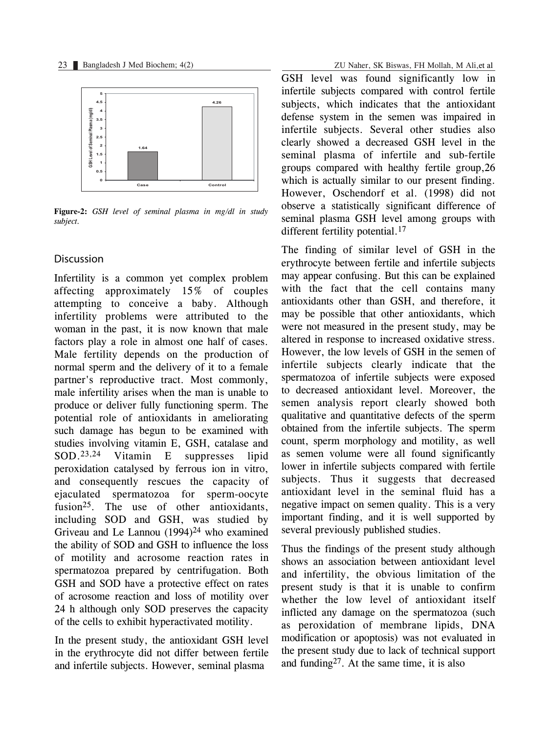

**Figure-2:** *GSH level of seminal plasma in mg/dl in study subject.*

### Discussion

Infertility is a common yet complex problem affecting approximately 15% of couples attempting to conceive a baby. Although infertility problems were attributed to the woman in the past, it is now known that male factors play a role in almost one half of cases. Male fertility depends on the production of normal sperm and the delivery of it to a female partner's reproductive tract. Most commonly, male infertility arises when the man is unable to produce or deliver fully functioning sperm. The potential role of antioxidants in ameliorating such damage has begun to be examined with studies involving vitamin E, GSH, catalase and SOD.23,24 Vitamin E suppresses lipid peroxidation catalysed by ferrous ion in vitro, and consequently rescues the capacity of ejaculated spermatozoa for sperm-oocyte fusion<sup>25</sup>. The use of other antioxidants, including SOD and GSH, was studied by Griveau and Le Lannou  $(1994)^{24}$  who examined the ability of SOD and GSH to influence the loss of motility and acrosome reaction rates in spermatozoa prepared by centrifugation. Both GSH and SOD have a protective effect on rates of acrosome reaction and loss of motility over 24 h although only SOD preserves the capacity of the cells to exhibit hyperactivated motility.

In the present study, the antioxidant GSH level in the erythrocyte did not differ between fertile and infertile subjects. However, seminal plasma

GSH level was found significantly low in infertile subjects compared with control fertile subjects, which indicates that the antioxidant defense system in the semen was impaired in infertile subjects. Several other studies also clearly showed a decreased GSH level in the seminal plasma of infertile and sub-fertile groups compared with healthy fertile group,26 which is actually similar to our present finding. However, Oschendorf et al. (1998) did not observe a statistically significant difference of seminal plasma GSH level among groups with different fertility potential.<sup>17</sup>

The finding of similar level of GSH in the erythrocyte between fertile and infertile subjects may appear confusing. But this can be explained with the fact that the cell contains many antioxidants other than GSH, and therefore, it may be possible that other antioxidants, which were not measured in the present study, may be altered in response to increased oxidative stress. However, the low levels of GSH in the semen of infertile subjects clearly indicate that the spermatozoa of infertile subjects were exposed to decreased antioxidant level. Moreover, the semen analysis report clearly showed both qualitative and quantitative defects of the sperm obtained from the infertile subjects. The sperm count, sperm morphology and motility, as well as semen volume were all found significantly lower in infertile subjects compared with fertile subjects. Thus it suggests that decreased antioxidant level in the seminal fluid has a negative impact on semen quality. This is a very important finding, and it is well supported by several previously published studies.

Thus the findings of the present study although shows an association between antioxidant level and infertility, the obvious limitation of the present study is that it is unable to confirm whether the low level of antioxidant itself inflicted any damage on the spermatozoa (such as peroxidation of membrane lipids, DNA modification or apoptosis) was not evaluated in the present study due to lack of technical support and funding<sup>27</sup>. At the same time, it is also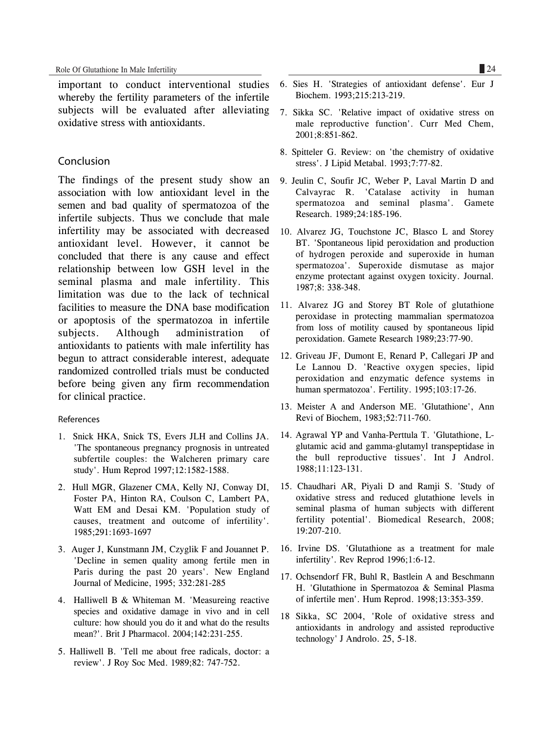important to conduct interventional studies whereby the fertility parameters of the infertile subjects will be evaluated after alleviating oxidative stress with antioxidants.

# Conclusion

The findings of the present study show an association with low antioxidant level in the semen and bad quality of spermatozoa of the infertile subjects. Thus we conclude that male infertility may be associated with decreased antioxidant level. However, it cannot be concluded that there is any cause and effect relationship between low GSH level in the seminal plasma and male infertility. This limitation was due to the lack of technical facilities to measure the DNA base modification or apoptosis of the spermatozoa in infertile subjects. Although administration of antioxidants to patients with male infertility has begun to attract considerable interest, adequate randomized controlled trials must be conducted before being given any firm recommendation for clinical practice.

#### References

- 1. Snick HKA, Snick TS, Evers JLH and Collins JA. 'The spontaneous pregnancy prognosis in untreated subfertile couples: the Walcheren primary care study'. Hum Reprod 1997;12:1582-1588.
- 2. Hull MGR, Glazener CMA, Kelly NJ, Conway DI, Foster PA, Hinton RA, Coulson C, Lambert PA, Watt EM and Desai KM. 'Population study of causes, treatment and outcome of infertility'. 1985;291:1693-1697
- 3. Auger J, Kunstmann JM, Czyglik F and Jouannet P. 'Decline in semen quality among fertile men in Paris during the past 20 years'. New England Journal of Medicine, 1995; 332:281-285
- 4. Halliwell B & Whiteman M. 'Measureing reactive species and oxidative damage in vivo and in cell culture: how should you do it and what do the results mean?'. Brit J Pharmacol. 2004;142:231-255.
- 5. Halliwell B. 'Tell me about free radicals, doctor: a review'. J Roy Soc Med. 1989;82: 747-752.
- 6. Sies H. 'Strategies of antioxidant defense'. Eur J Biochem. 1993;215:213-219.
- 7. Sikka SC. 'Relative impact of oxidative stress on male reproductive function'. Curr Med Chem, 2001;8:851-862.
- 8. Spitteler G. Review: on 'the chemistry of oxidative stress'. J Lipid Metabal. 1993;7:77-82.
- 9. Jeulin C, Soufir JC, Weber P, Laval Martin D and Calvayrac R. 'Catalase activity in human spermatozoa and seminal plasma'. Gamete Research. 1989;24:185-196.
- 10. Alvarez JG, Touchstone JC, Blasco L and Storey BT. 'Spontaneous lipid peroxidation and production of hydrogen peroxide and superoxide in human spermatozoa'. Superoxide dismutase as major enzyme protectant against oxygen toxicity. Journal. 1987;8: 338-348.
- 11. Alvarez JG and Storey BT Role of glutathione peroxidase in protecting mammalian spermatozoa from loss of motility caused by spontaneous lipid peroxidation. Gamete Research 1989;23:77-90.
- 12. Griveau JF, Dumont E, Renard P, Callegari JP and Le Lannou D. 'Reactive oxygen species, lipid peroxidation and enzymatic defence systems in human spermatozoa'. Fertility. 1995;103:17-26.
- 13. Meister A and Anderson ME. 'Glutathione', Ann Revi of Biochem, 1983;52:711-760.
- 14. Agrawal YP and Vanha-Perttula T. 'Glutathione, Lglutamic acid and gamma-glutamyl transpeptidase in the bull reproductive tissues'. Int J Androl. 1988;11:123-131.
- 15. Chaudhari AR, Piyali D and Ramji S. 'Study of oxidative stress and reduced glutathione levels in seminal plasma of human subjects with different fertility potential'. Biomedical Research, 2008; 19:207-210.
- 16. Irvine DS. 'Glutathione as a treatment for male infertility'. Rev Reprod 1996;1:6-12.
- 17. Ochsendorf FR, Buhl R, Bastlein A and Beschmann H. 'Glutathione in Spermatozoa & Seminal Plasma of infertile men'. Hum Reprod. 1998;13:353-359.
- 18 Sikka, SC 2004, 'Role of oxidative stress and antioxidants in andrology and assisted reproductive technology' J Androlo. 25, 5-18.